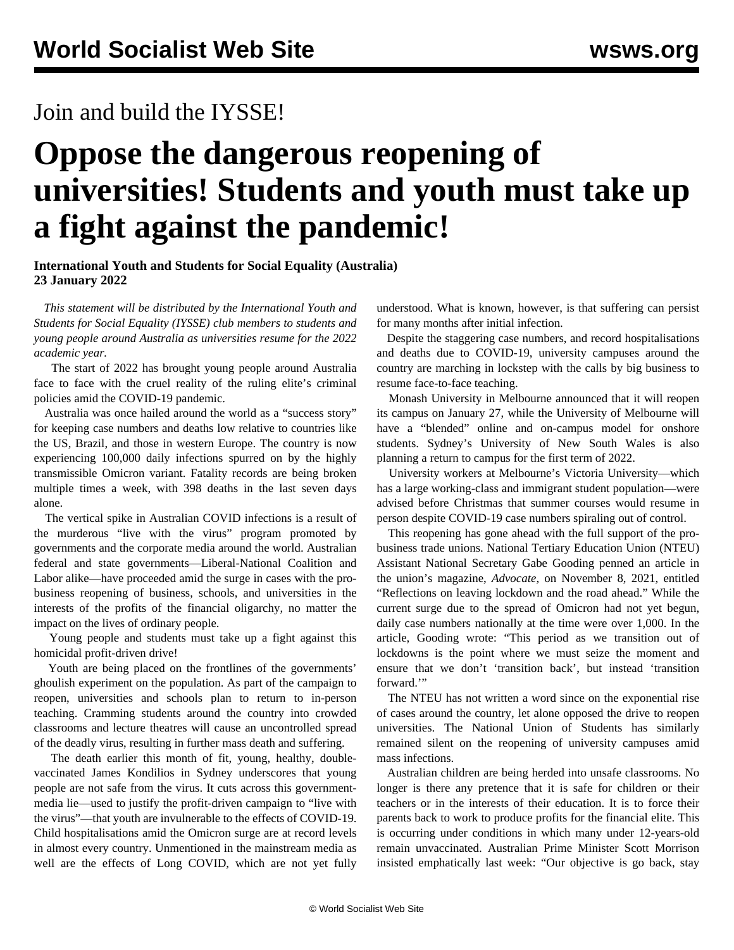## Join and build the IYSSE!

## **Oppose the dangerous reopening of universities! Students and youth must take up a fight against the pandemic!**

## **International Youth and Students for Social Equality (Australia) 23 January 2022**

 *This statement will be distributed by the International Youth and Students for Social Equality (IYSSE) club members to students and young people around Australia as universities resume for the 2022 academic year.*

 The start of 2022 has brought young people around Australia face to face with the cruel reality of the ruling elite's criminal policies amid the COVID-19 pandemic.

 Australia was once hailed around the world as a "success story" for keeping case numbers and deaths low relative to countries like the US, Brazil, and those in western Europe. The country is now experiencing 100,000 daily infections spurred on by the highly transmissible Omicron variant. Fatality records are being broken multiple times a week, with 398 deaths in the last seven days alone.

 The vertical spike in Australian COVID infections is a result of the murderous "live with the virus" program promoted by governments and the corporate media around the world. Australian federal and state governments—Liberal-National Coalition and Labor alike—have proceeded amid the surge in cases with the probusiness reopening of business, schools, and universities in the interests of the profits of the financial oligarchy, no matter the impact on the lives of ordinary people.

 Young people and students must take up a fight against this homicidal profit-driven drive!

 Youth are being placed on the frontlines of the governments' ghoulish experiment on the population. As part of the campaign to reopen, universities and schools plan to return to in-person teaching. Cramming students around the country into crowded classrooms and lecture theatres will cause an uncontrolled spread of the deadly virus, resulting in further mass death and suffering.

 The death earlier this month of fit, young, healthy, doublevaccinated James Kondilios in Sydney underscores that young people are not safe from the virus. It cuts across this governmentmedia lie—used to justify the profit-driven campaign to "live with the virus"—that youth are invulnerable to the effects of COVID-19. Child hospitalisations amid the Omicron surge are at record levels in almost every country. Unmentioned in the mainstream media as well are the effects of Long COVID, which are not yet fully understood. What is known, however, is that suffering can persist for many months after initial infection.

 Despite the staggering case numbers, and record hospitalisations and deaths due to COVID-19, university campuses around the country are marching in lockstep with the calls by big business to resume face-to-face teaching.

 Monash University in Melbourne announced that it will reopen its campus on January 27, while the University of Melbourne will have a "blended" online and on-campus model for onshore students. Sydney's University of New South Wales is also planning a return to campus for the first term of 2022.

 University workers at Melbourne's Victoria University—which has a large working-class and immigrant student population—were advised before Christmas that summer courses would resume in person despite COVID-19 case numbers spiraling out of control.

 This reopening has gone ahead with the full support of the probusiness trade unions. National Tertiary Education Union (NTEU) Assistant National Secretary Gabe Gooding penned an article in the union's magazine, *Advocate*, on November 8, 2021, entitled "Reflections on leaving lockdown and the road ahead." While the current surge due to the spread of Omicron had not yet begun, daily case numbers nationally at the time were over 1,000. In the article, Gooding wrote: "This period as we transition out of lockdowns is the point where we must seize the moment and ensure that we don't 'transition back', but instead 'transition forward.'"

 The NTEU has not written a word since on the exponential rise of cases around the country, let alone opposed the drive to reopen universities. The National Union of Students has similarly remained silent on the reopening of university campuses amid mass infections.

 Australian children are being herded into unsafe classrooms. No longer is there any pretence that it is safe for children or their teachers or in the interests of their education. It is to force their parents back to work to produce profits for the financial elite. This is occurring under conditions in which many under 12-years-old remain unvaccinated. Australian Prime Minister Scott Morrison insisted emphatically last week: "Our objective is go back, stay